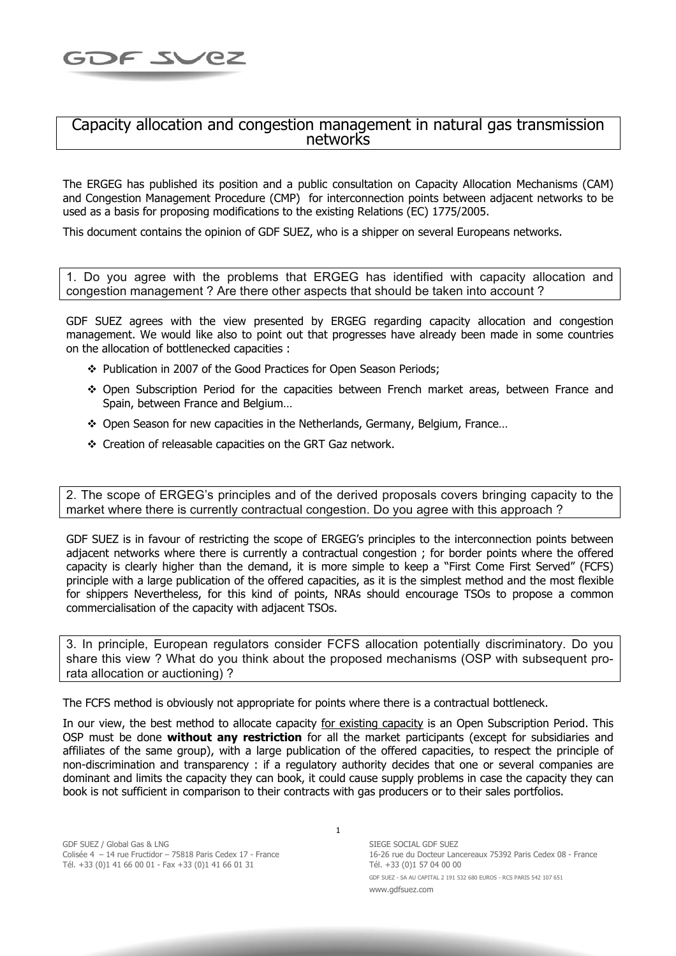## Capacity allocation and congestion management in natural gas transmission<br>networks

The ERGEG has published its position and a public consultation on Capacity Allocation Mechanisms (CAM) and Congestion Management Procedure (CMP) for interconnection points between adjacent networks to be used as a basis for proposing modifications to the existing Relations (EC) 1775/2005.

This document contains the opinion of GDF SUEZ, who is a shipper on several Europeans networks.

1. Do you agree with the problems that ERGEG has identified with capacity allocation and congestion management ? Are there other aspects that should be taken into account ?

GDF SUEZ agrees with the view presented by ERGEG regarding capacity allocation and congestion management. We would like also to point out that progresses have already been made in some countries on the allocation of bottlenecked capacities :

- \* Publication in 2007 of the Good Practices for Open Season Periods:
- Open Subscription Period for the capacities between French market areas, between France and Spain, between France and Belgium…
- Open Season for new capacities in the Netherlands, Germany, Belgium, France…
- Creation of releasable capacities on the GRT Gaz network.

2. The scope of ERGEG's principles and of the derived proposals covers bringing capacity to the market where there is currently contractual congestion. Do you agree with this approach ?

GDF SUEZ is in favour of restricting the scope of ERGEG's principles to the interconnection points between adjacent networks where there is currently a contractual congestion ; for border points where the offered capacity is clearly higher than the demand, it is more simple to keep a "First Come First Served" (FCFS) principle with a large publication of the offered capacities, as it is the simplest method and the most flexible for shippers Nevertheless, for this kind of points, NRAs should encourage TSOs to propose a common commercialisation of the capacity with adjacent TSOs.

3. In principle, European regulators consider FCFS allocation potentially discriminatory. Do you share this view ? What do you think about the proposed mechanisms (OSP with subsequent prorata allocation or auctioning) ?

The FCFS method is obviously not appropriate for points where there is a contractual bottleneck.

In our view, the best method to allocate capacity for existing capacity is an Open Subscription Period. This OSP must be done **without any restriction** for all the market participants (except for subsidiaries and affiliates of the same group), with a large publication of the offered capacities, to respect the principle of non-discrimination and transparency : if a regulatory authority decides that one or several companies are dominant and limits the capacity they can book, it could cause supply problems in case the capacity they can book is not sufficient in comparison to their contracts with gas producers or to their sales portfolios.

 SIEGE SOCIAL GDF SUEZ 16-26 rue du Docteur Lancereaux 75392 Paris Cedex 08 - France Tél. +33 (0)1 57 04 00 00 GDF SUEZ - SA AU CAPITAL 2 191 532 680 EUROS - RCS PARIS 542 107 651 www.gdfsuez.com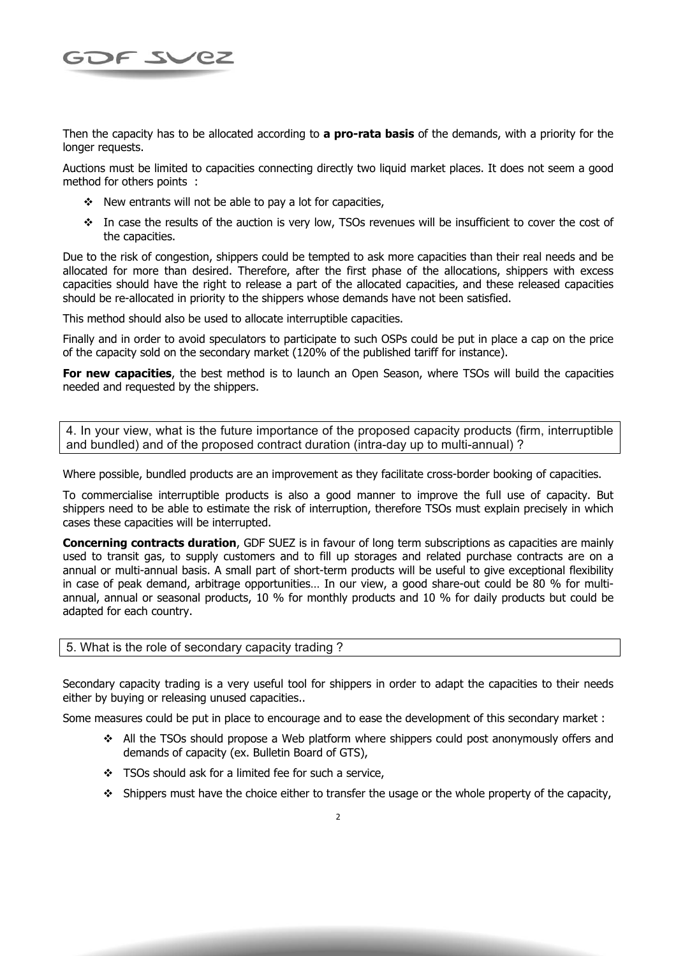

Then the capacity has to be allocated according to **a pro-rata basis** of the demands, with a priority for the longer requests.

Auctions must be limited to capacities connecting directly two liquid market places. It does not seem a good method for others points :

- $\div$  New entrants will not be able to pay a lot for capacities,
- In case the results of the auction is very low, TSOs revenues will be insufficient to cover the cost of the capacities.

Due to the risk of congestion, shippers could be tempted to ask more capacities than their real needs and be allocated for more than desired. Therefore, after the first phase of the allocations, shippers with excess capacities should have the right to release a part of the allocated capacities, and these released capacities should be re-allocated in priority to the shippers whose demands have not been satisfied.

This method should also be used to allocate interruptible capacities.

Finally and in order to avoid speculators to participate to such OSPs could be put in place a cap on the price of the capacity sold on the secondary market (120% of the published tariff for instance).

**For new capacities**, the best method is to launch an Open Season, where TSOs will build the capacities needed and requested by the shippers.

4. In your view, what is the future importance of the proposed capacity products (firm, interruptible and bundled) and of the proposed contract duration (intra-day up to multi-annual) ?

Where possible, bundled products are an improvement as they facilitate cross-border booking of capacities.

To commercialise interruptible products is also a good manner to improve the full use of capacity. But shippers need to be able to estimate the risk of interruption, therefore TSOs must explain precisely in which cases these capacities will be interrupted.

**Concerning contracts duration**, GDF SUEZ is in favour of long term subscriptions as capacities are mainly used to transit gas, to supply customers and to fill up storages and related purchase contracts are on a annual or multi-annual basis. A small part of short-term products will be useful to give exceptional flexibility in case of peak demand, arbitrage opportunities… In our view, a good share-out could be 80 % for multiannual, annual or seasonal products, 10 % for monthly products and 10 % for daily products but could be adapted for each country.

## 5. What is the role of secondary capacity trading ?

Secondary capacity trading is a very useful tool for shippers in order to adapt the capacities to their needs either by buying or releasing unused capacities..

Some measures could be put in place to encourage and to ease the development of this secondary market :

- ❖ All the TSOs should propose a Web platform where shippers could post anonymously offers and demands of capacity (ex. Bulletin Board of GTS),
- TSOs should ask for a limited fee for such a service,
- $\div$  Shippers must have the choice either to transfer the usage or the whole property of the capacity,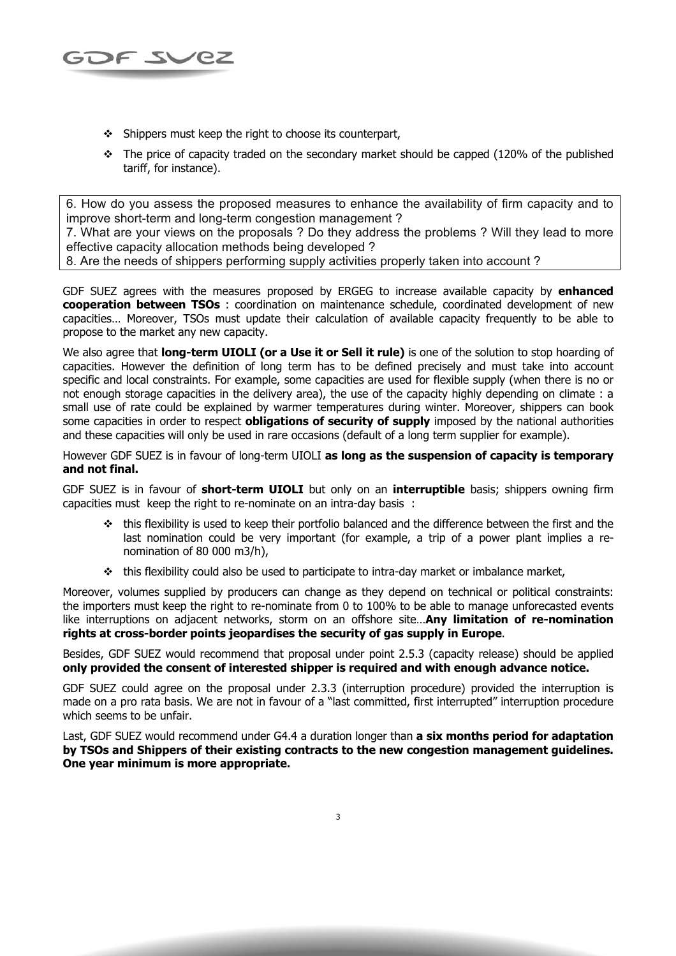

- $\div$  Shippers must keep the right to choose its counterpart,
- $\div$  The price of capacity traded on the secondary market should be capped (120% of the published tariff, for instance).

6. How do you assess the proposed measures to enhance the availability of firm capacity and to improve short-term and long-term congestion management ?

7. What are your views on the proposals ? Do they address the problems ? Will they lead to more effective capacity allocation methods being developed ?

8. Are the needs of shippers performing supply activities properly taken into account ?

GDF SUEZ agrees with the measures proposed by ERGEG to increase available capacity by **enhanced cooperation between TSOs** : coordination on maintenance schedule, coordinated development of new capacities… Moreover, TSOs must update their calculation of available capacity frequently to be able to propose to the market any new capacity.

We also agree that **long-term UIOLI (or a Use it or Sell it rule)** is one of the solution to stop hoarding of capacities. However the definition of long term has to be defined precisely and must take into account specific and local constraints. For example, some capacities are used for flexible supply (when there is no or not enough storage capacities in the delivery area), the use of the capacity highly depending on climate : a small use of rate could be explained by warmer temperatures during winter. Moreover, shippers can book some capacities in order to respect **obligations of security of supply** imposed by the national authorities and these capacities will only be used in rare occasions (default of a long term supplier for example).

However GDF SUEZ is in favour of long-term UIOLI **as long as the suspension of capacity is temporary and not final.** 

GDF SUEZ is in favour of **short-term UIOLI** but only on an **interruptible** basis; shippers owning firm capacities must keep the right to re-nominate on an intra-day basis :

- this flexibility is used to keep their portfolio balanced and the difference between the first and the last nomination could be very important (for example, a trip of a power plant implies a renomination of 80 000 m3/h),
- $\div$  this flexibility could also be used to participate to intra-day market or imbalance market,

Moreover, volumes supplied by producers can change as they depend on technical or political constraints: the importers must keep the right to re-nominate from 0 to 100% to be able to manage unforecasted events like interruptions on adjacent networks, storm on an offshore site…**Any limitation of re-nomination rights at cross-border points jeopardises the security of gas supply in Europe**.

Besides, GDF SUEZ would recommend that proposal under point 2.5.3 (capacity release) should be applied **only provided the consent of interested shipper is required and with enough advance notice.** 

GDF SUEZ could agree on the proposal under 2.3.3 (interruption procedure) provided the interruption is made on a pro rata basis. We are not in favour of a "last committed, first interrupted" interruption procedure which seems to be unfair.

Last, GDF SUEZ would recommend under G4.4 a duration longer than **a six months period for adaptation by TSOs and Shippers of their existing contracts to the new congestion management guidelines. One year minimum is more appropriate.**